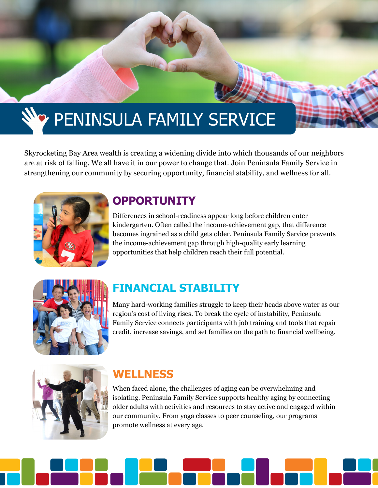# **PENINSULA FAMILY SERVICE**

Skyrocketing Bay Area wealth is creating a widening divide into which thousands of our neighbors are at risk of falling. We all have it in our power to change that. Join Peninsula Family Service in strengthening our community by securing opportunity, financial stability, and wellness for all.



# **OPPORTUNITY**

Differences in school-readiness appear long before children enter kindergarten. Often called the income-achievement gap, that difference becomes ingrained as a child gets older. Peninsula Family Service prevents the income-achievement gap through high-quality early learning opportunities that help children reach their full potential.



# **FINANCIAL STABILITY**

Many hard-working families struggle to keep their heads above water as our region's cost of living rises. To break the cycle of instability, Peninsula Family Service connects participants with job training and tools that repair credit, increase savings, and set families on the path to financial wellbeing.



# **WELLNESS**

When faced alone, the challenges of aging can be overwhelming and isolating. Peninsula Family Service supports healthy aging by connecting older adults with activities and resources to stay active and engaged within our community. From yoga classes to peer counseling, our programs promote wellness at every age.